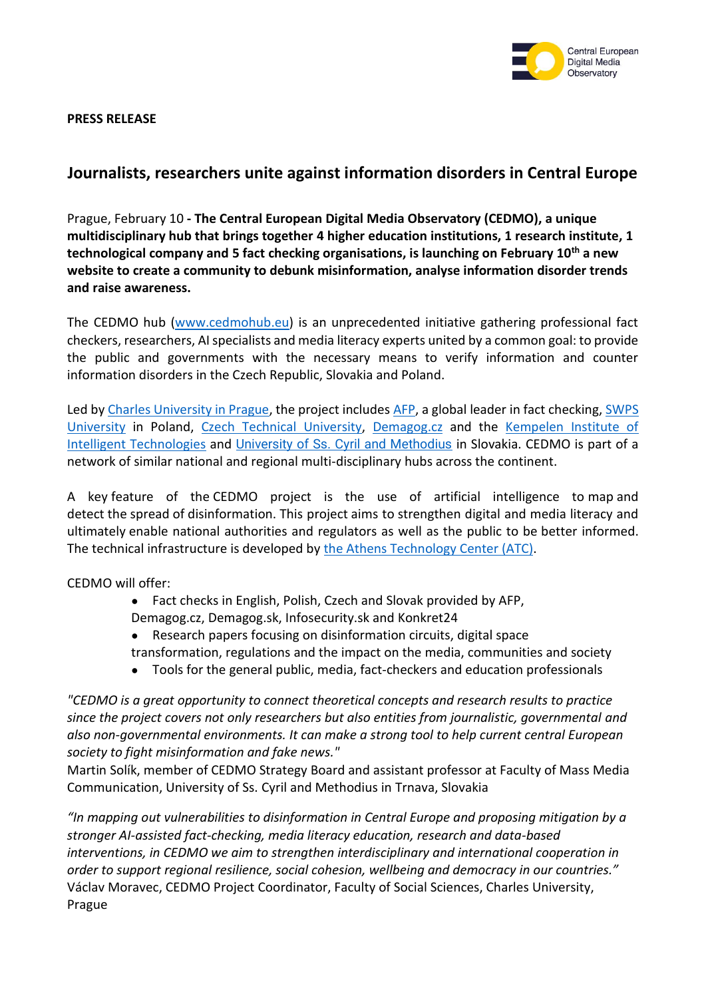

**PRESS RELEASE**

## **Journalists, researchers unite against information disorders in Central Europe**

Prague, February 10 **- The Central European Digital Media Observatory (CEDMO), a unique multidisciplinary hub that brings together 4 higher education institutions, 1 research institute, 1 technological company and 5 fact checking organisations, is launching on February 10th a new website to create a community to debunk misinformation, analyse information disorder trends and raise awareness.**

The CEDMO hub [\(www.cedmohub.](http://www.cedmohub/)eu) is an unprecedented initiative gathering professional fact checkers, researchers, AI specialists and media literacy experts united by a common goal: to provide the public and governments with the necessary means to verify information and counter information disorders in the Czech Republic, Slovakia and Poland.

Led by [Charles University in Prague,](http://www.fsv.cuni.cz/) the project include[s AFP,](http://www.afp.com/) a global leader in fact checking[, SWPS](https://english.swps.pl/)  [University](https://english.swps.pl/) in Poland, [Czech Technical University,](https://fel.cvut.cz/en/) [Demagog.cz](http://www.demagog.cz/) and the Kempelen Institute of [Intelligent Technologies](http://www.kinit.sk/) and [University of Ss. Cyril and Methodius](http://www.ucm.cz/) in Slovakia. CEDMO is part of a network of similar national and regional multi-disciplinary hubs across the continent.

A key feature of the CEDMO project is the use of artificial intelligence to map and detect the spread of disinformation. This project aims to strengthen digital and media literacy and ultimately enable national authorities and regulators as well as the public to be better informed. The technical infrastructure is developed by the [Athens Technology Center \(ATC\).](http://www.atc.gr/)

CEDMO will offer:

- Fact checks in English, Polish, Czech and Slovak provided by AFP,
- Demagog.cz, Demagog.sk, Infosecurity.sk and Konkret24
- Research papers focusing on disinformation circuits, digital space transformation, regulations and the impact on the media, communities and society
- Tools for the general public, media, fact-checkers and education professionals

*"CEDMO is a great opportunity to connect theoretical concepts and research results to practice since the project covers not only researchers but also entities from journalistic, governmental and also non-governmental environments. It can make a strong tool to help current central European society to fight misinformation and fake news."*

Martin Solík, member of CEDMO Strategy Board and assistant professor at Faculty of Mass Media Communication, University of Ss. Cyril and Methodius in Trnava, Slovakia

*"In mapping out vulnerabilities to disinformation in Central Europe and proposing mitigation by a stronger AI-assisted fact-checking, media literacy education, research and data-based interventions, in CEDMO we aim to strengthen interdisciplinary and international cooperation in order to support regional resilience, social cohesion, wellbeing and democracy in our countries."* Václav Moravec, CEDMO Project Coordinator, Faculty of Social Sciences, Charles University, Prague